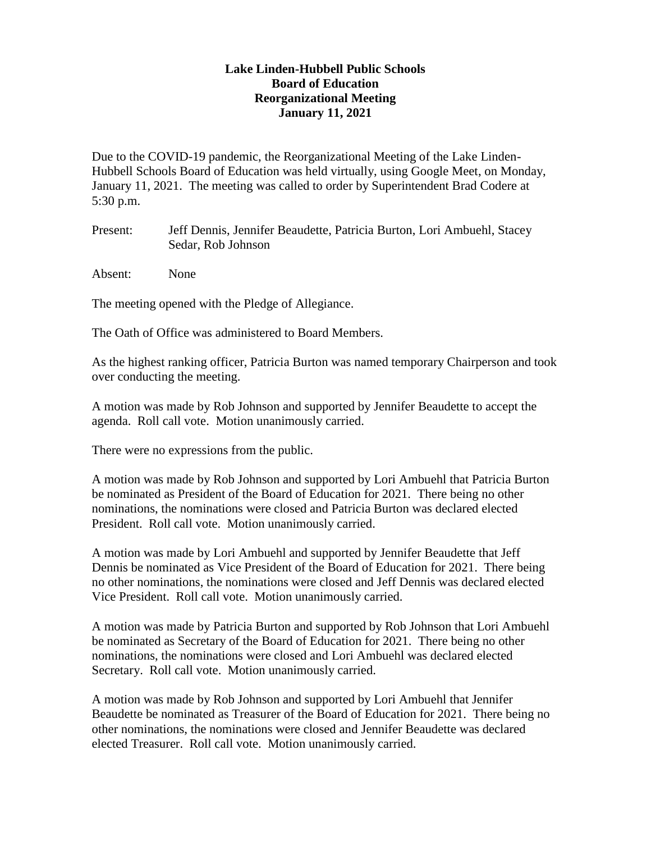## **Lake Linden-Hubbell Public Schools Board of Education Reorganizational Meeting January 11, 2021**

Due to the COVID-19 pandemic, the Reorganizational Meeting of the Lake Linden-Hubbell Schools Board of Education was held virtually, using Google Meet, on Monday, January 11, 2021. The meeting was called to order by Superintendent Brad Codere at 5:30 p.m.

Present: Jeff Dennis, Jennifer Beaudette, Patricia Burton, Lori Ambuehl, Stacey Sedar, Rob Johnson

Absent: None

The meeting opened with the Pledge of Allegiance.

The Oath of Office was administered to Board Members.

As the highest ranking officer, Patricia Burton was named temporary Chairperson and took over conducting the meeting.

A motion was made by Rob Johnson and supported by Jennifer Beaudette to accept the agenda. Roll call vote. Motion unanimously carried.

There were no expressions from the public.

A motion was made by Rob Johnson and supported by Lori Ambuehl that Patricia Burton be nominated as President of the Board of Education for 2021. There being no other nominations, the nominations were closed and Patricia Burton was declared elected President. Roll call vote. Motion unanimously carried.

A motion was made by Lori Ambuehl and supported by Jennifer Beaudette that Jeff Dennis be nominated as Vice President of the Board of Education for 2021. There being no other nominations, the nominations were closed and Jeff Dennis was declared elected Vice President. Roll call vote. Motion unanimously carried.

A motion was made by Patricia Burton and supported by Rob Johnson that Lori Ambuehl be nominated as Secretary of the Board of Education for 2021. There being no other nominations, the nominations were closed and Lori Ambuehl was declared elected Secretary. Roll call vote. Motion unanimously carried.

A motion was made by Rob Johnson and supported by Lori Ambuehl that Jennifer Beaudette be nominated as Treasurer of the Board of Education for 2021. There being no other nominations, the nominations were closed and Jennifer Beaudette was declared elected Treasurer. Roll call vote. Motion unanimously carried.